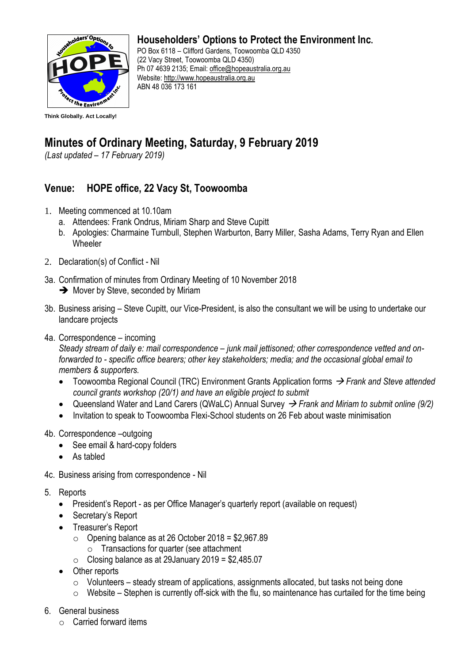

## **Householders' Options to Protect the Environment Inc.**

PO Box 6118 – Clifford Gardens, Toowoomba QLD 4350 (22 Vacy Street, Toowoomba QLD 4350) Ph 07 4639 2135; Email: [office@hopeaustralia.org.au](mailto:office@hopeaustralia.org.au)  Website: [http://www.hopeaustralia.org.au](http://www.hopeaustralia.org.au/) ABN 48 036 173 161

## **Minutes of Ordinary Meeting, Saturday, 9 February 2019**

*(Last updated – 17 February 2019)*

## **Venue: HOPE office, 22 Vacy St, Toowoomba**

- 1. Meeting commenced at 10.10am
	- a. Attendees: Frank Ondrus, Miriam Sharp and Steve Cupitt
	- b. Apologies: Charmaine Turnbull, Stephen Warburton, Barry Miller, Sasha Adams, Terry Ryan and Ellen **Wheeler**
- 2. Declaration(s) of Conflict Nil
- 3a. Confirmation of minutes from Ordinary Meeting of 10 November 2018
	- **→** Mover by Steve, seconded by Miriam
- 3b. Business arising Steve Cupitt, our Vice-President, is also the consultant we will be using to undertake our landcare projects
- 4a. Correspondence incoming

*Steady stream of daily e: mail correspondence – junk mail jettisoned; other correspondence vetted and onforwarded to - specific office bearers; other key stakeholders; media; and the occasional global email to members & supporters.* 

- Toowoomba Regional Council (TRC) Environment Grants Application forms → *Frank and Steve attended council grants workshop (20/1) and have an eligible project to submit*
- Queensland Water and Land Carers (QWaLC) Annual Survey → *Frank and Miriam to submit online (9/2)*
- Invitation to speak to Toowoomba Flexi-School students on 26 Feb about waste minimisation
- 4b. Correspondence –outgoing
	- See email & hard-copy folders
	- As tabled
- 4c. Business arising from correspondence Nil
- 5. Reports
	- President's Report as per Office Manager's quarterly report (available on request)
	- Secretary's Report
	- Treasurer's Report
		- $\circ$  Opening balance as at 26 October 2018 = \$2,967.89 o Transactions for quarter (see attachment
		- $\circ$  Closing balance as at 29 January 2019 = \$2,485.07
	- Other reports
		- o Volunteers steady stream of applications, assignments allocated, but tasks not being done
		- $\circ$  Website Stephen is currently off-sick with the flu, so maintenance has curtailed for the time being
- 6. General business
	- $\circ$  Carried forward items